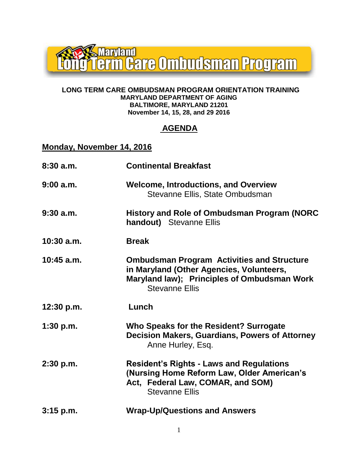

#### **LONG TERM CARE OMBUDSMAN PROGRAM ORIENTATION TRAINING MARYLAND DEPARTMENT OF AGING BALTIMORE, MARYLAND 21201 November 14, 15, 28, and 29 2016**

#### **AGENDA**

#### **Monday, November 14, 2016**

| 8:30a.m.     | <b>Continental Breakfast</b>                                                                                                                                          |
|--------------|-----------------------------------------------------------------------------------------------------------------------------------------------------------------------|
| 9:00a.m.     | <b>Welcome, Introductions, and Overview</b><br>Stevanne Ellis, State Ombudsman                                                                                        |
| 9:30a.m.     | History and Role of Ombudsman Program (NORC<br>handout) Stevanne Ellis                                                                                                |
| $10:30$ a.m. | <b>Break</b>                                                                                                                                                          |
| $10:45$ a.m. | <b>Ombudsman Program Activities and Structure</b><br>in Maryland (Other Agencies, Volunteers,<br>Maryland law); Principles of Ombudsman Work<br><b>Stevanne Ellis</b> |
| 12:30 p.m.   | Lunch                                                                                                                                                                 |
| 1:30 p.m.    | Who Speaks for the Resident? Surrogate<br><b>Decision Makers, Guardians, Powers of Attorney</b><br>Anne Hurley, Esq.                                                  |
| 2:30 p.m.    | <b>Resident's Rights - Laws and Regulations</b><br>(Nursing Home Reform Law, Older American's<br>Act, Federal Law, COMAR, and SOM)<br><b>Stevanne Ellis</b>           |
| $3:15$ p.m.  | <b>Wrap-Up/Questions and Answers</b>                                                                                                                                  |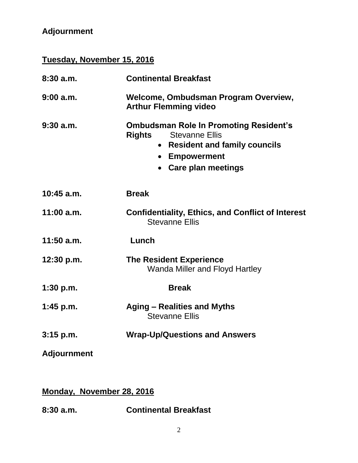# **Adjournment**

# **Tuesday, November 15, 2016**

| 8:30a.m.           | <b>Continental Breakfast</b>                                                                                                                                                         |
|--------------------|--------------------------------------------------------------------------------------------------------------------------------------------------------------------------------------|
| $9:00$ a.m.        | Welcome, Ombudsman Program Overview,<br><b>Arthur Flemming video</b>                                                                                                                 |
| $9:30$ a.m.        | <b>Ombudsman Role In Promoting Resident's</b><br><b>Stevanne Ellis</b><br><b>Rights</b><br><b>Resident and family councils</b><br>$\bullet$<br>• Empowerment<br>• Care plan meetings |
| $10:45$ a.m.       | <b>Break</b>                                                                                                                                                                         |
| $11:00$ a.m.       | <b>Confidentiality, Ethics, and Conflict of Interest</b><br><b>Stevanne Ellis</b>                                                                                                    |
| $11:50$ a.m.       | Lunch                                                                                                                                                                                |
| 12:30 p.m.         | <b>The Resident Experience</b><br><b>Wanda Miller and Floyd Hartley</b>                                                                                                              |
| 1:30 p.m.          | <b>Break</b>                                                                                                                                                                         |
| 1:45 p.m.          | Aging - Realities and Myths<br><b>Stevanne Ellis</b>                                                                                                                                 |
| $3:15$ p.m.        | <b>Wrap-Up/Questions and Answers</b>                                                                                                                                                 |
| <b>Adjournment</b> |                                                                                                                                                                                      |

### **Monday, November 28, 2016**

**8:30 a.m. Continental Breakfast**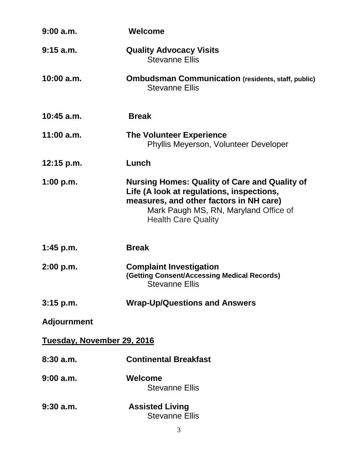| $9:00$ a.m.                | Welcome                                                                                                                                                                                                             |  |
|----------------------------|---------------------------------------------------------------------------------------------------------------------------------------------------------------------------------------------------------------------|--|
| $9:15$ a.m.                | <b>Quality Advocacy Visits</b><br><b>Stevanne Ellis</b>                                                                                                                                                             |  |
| $10:00$ a.m.               | <b>Ombudsman Communication (residents, staff, public)</b><br><b>Stevanne Ellis</b>                                                                                                                                  |  |
| 10:45 a.m.                 | <b>Break</b>                                                                                                                                                                                                        |  |
| $11:00$ a.m.               | <b>The Volunteer Experience</b><br>Phyllis Meyerson, Volunteer Developer                                                                                                                                            |  |
| $12:15$ p.m.               | Lunch                                                                                                                                                                                                               |  |
| 1:00 p.m.                  | <b>Nursing Homes: Quality of Care and Quality of</b><br>Life (A look at regulations, inspections,<br>measures, and other factors in NH care)<br>Mark Paugh MS, RN, Maryland Office of<br><b>Health Care Quality</b> |  |
| 1:45 p.m.                  | <b>Break</b>                                                                                                                                                                                                        |  |
| 2:00 p.m.                  | <b>Complaint Investigation</b><br>(Getting Consent/Accessing Medical Records)<br><b>Stevanne Ellis</b>                                                                                                              |  |
| $3:15$ p.m.                | <b>Wrap-Up/Questions and Answers</b>                                                                                                                                                                                |  |
| <b>Adjournment</b>         |                                                                                                                                                                                                                     |  |
| Tuesday, November 29, 2016 |                                                                                                                                                                                                                     |  |
| 8:30 a.m.                  | <b>Continental Breakfast</b>                                                                                                                                                                                        |  |
| 9:00a.m.                   | Welcome<br><b>Stevanne Ellis</b>                                                                                                                                                                                    |  |
| $9:30$ a.m.                | <b>Assisted Living</b><br><b>Stevanne Ellis</b>                                                                                                                                                                     |  |